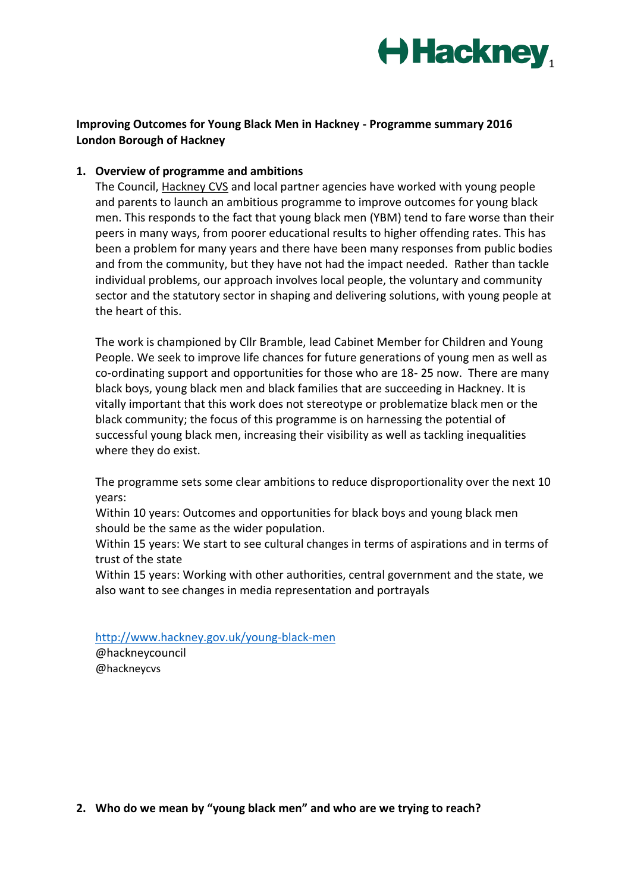

# **Improving Outcomes for Young Black Men in Hackney - Programme summary 2016 London Borough of Hackney**

#### **1. Overview of programme and ambitions**

The Council, [Hackney CVS](http://www.hcvs.org.uk/) and local partner agencies have worked with young people and parents to launch an ambitious programme to improve outcomes for young black men. This responds to the fact that young black men (YBM) tend to fare worse than their peers in many ways, from poorer educational results to higher offending rates. This has been a problem for many years and there have been many responses from public bodies and from the community, but they have not had the impact needed. Rather than tackle individual problems, our approach involves local people, the voluntary and community sector and the statutory sector in shaping and delivering solutions, with young people at the heart of this.

The work is championed by Cllr Bramble, lead Cabinet Member for Children and Young People. We seek to improve life chances for future generations of young men as well as co-ordinating support and opportunities for those who are 18- 25 now. There are many black boys, young black men and black families that are succeeding in Hackney. It is vitally important that this work does not stereotype or problematize black men or the black community; the focus of this programme is on harnessing the potential of successful young black men, increasing their visibility as well as tackling inequalities where they do exist.

The programme sets some clear ambitions to reduce disproportionality over the next 10 years:

Within 10 years: Outcomes and opportunities for black boys and young black men should be the same as the wider population.

Within 15 years: We start to see cultural changes in terms of aspirations and in terms of trust of the state

Within 15 years: Working with other authorities, central government and the state, we also want to see changes in media representation and portrayals

<http://www.hackney.gov.uk/young-black-men>

@hackneycouncil @hackneycvs

**2. Who do we mean by "young black men" and who are we trying to reach?**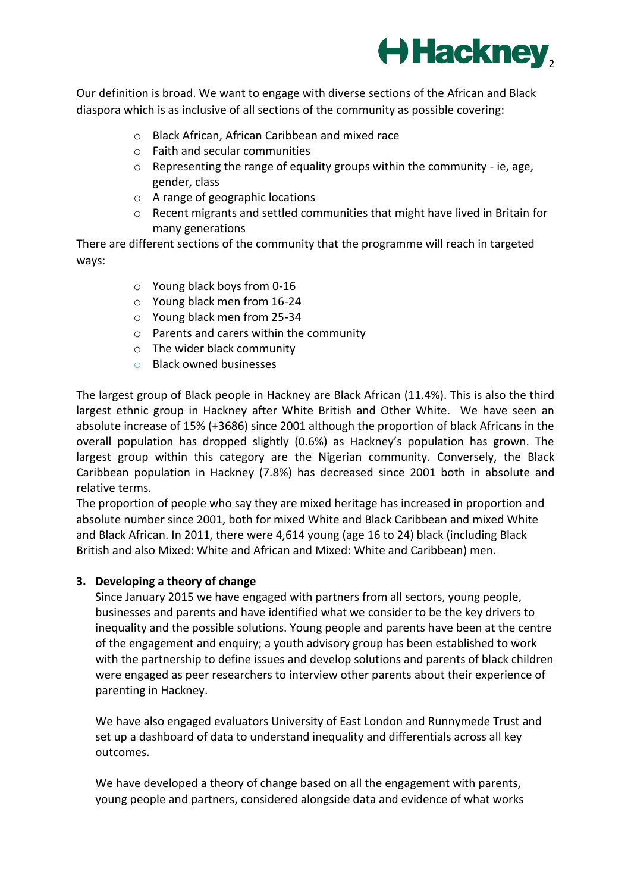

Our definition is broad. We want to engage with diverse sections of the African and Black diaspora which is as inclusive of all sections of the community as possible covering:

- o Black African, African Caribbean and mixed race
- o Faith and secular communities
- $\circ$  Representing the range of equality groups within the community ie, age, gender, class
- o A range of geographic locations
- o Recent migrants and settled communities that might have lived in Britain for many generations

There are different sections of the community that the programme will reach in targeted ways:

- o Young black boys from 0-16
- o Young black men from 16-24
- o Young black men from 25-34
- o Parents and carers within the community
- o The wider black community
- o Black owned businesses

The largest group of Black people in Hackney are Black African (11.4%). This is also the third largest ethnic group in Hackney after White British and Other White. We have seen an absolute increase of 15% (+3686) since 2001 although the proportion of black Africans in the overall population has dropped slightly (0.6%) as Hackney's population has grown. The largest group within this category are the Nigerian community. Conversely, the Black Caribbean population in Hackney (7.8%) has decreased since 2001 both in absolute and relative terms.

The proportion of people who say they are mixed heritage has increased in proportion and absolute number since 2001, both for mixed White and Black Caribbean and mixed White and Black African. In 2011, there were 4,614 young (age 16 to 24) black (including Black British and also Mixed: White and African and Mixed: White and Caribbean) men.

#### **3. Developing a theory of change**

Since January 2015 we have engaged with partners from all sectors, young people, businesses and parents and have identified what we consider to be the key drivers to inequality and the possible solutions. Young people and parents have been at the centre of the engagement and enquiry; a youth advisory group has been established to work with the partnership to define issues and develop solutions and parents of black children were engaged as peer researchers to interview other parents about their experience of parenting in Hackney.

We have also engaged evaluators University of East London and Runnymede Trust and set up a dashboard of data to understand inequality and differentials across all key outcomes.

We have developed a theory of change based on all the engagement with parents, young people and partners, considered alongside data and evidence of what works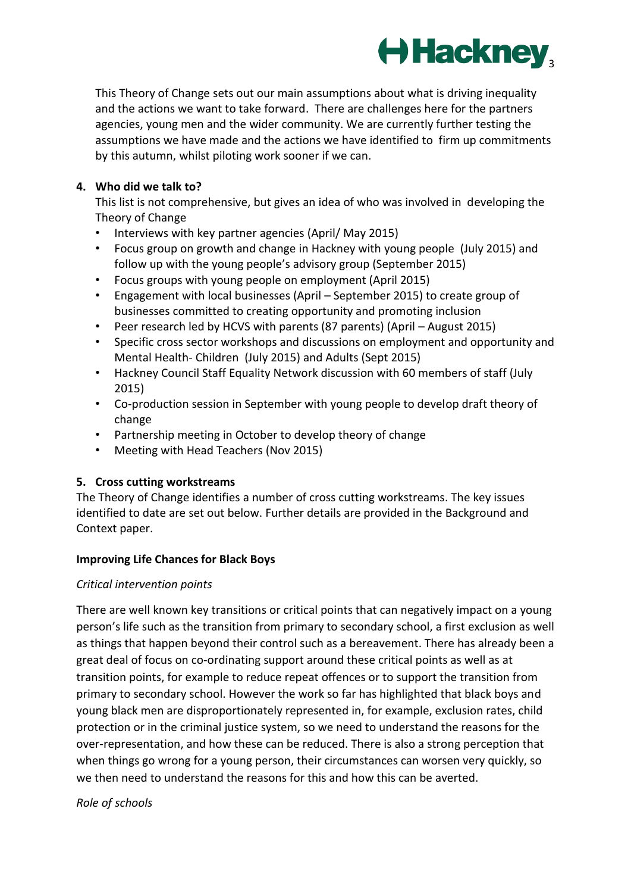

This Theory of Change sets out our main assumptions about what is driving inequality and the actions we want to take forward. There are challenges here for the partners agencies, young men and the wider community. We are currently further testing the assumptions we have made and the actions we have identified to firm up commitments by this autumn, whilst piloting work sooner if we can.

# **4. Who did we talk to?**

This list is not comprehensive, but gives an idea of who was involved in developing the Theory of Change

- Interviews with key partner agencies (April/ May 2015)
- Focus group on growth and change in Hackney with young people (July 2015) and follow up with the young people's advisory group (September 2015)
- Focus groups with young people on employment (April 2015)
- Engagement with local businesses (April September 2015) to create group of businesses committed to creating opportunity and promoting inclusion
- Peer research led by HCVS with parents (87 parents) (April August 2015)
- Specific cross sector workshops and discussions on employment and opportunity and Mental Health- Children (July 2015) and Adults (Sept 2015)
- Hackney Council Staff Equality Network discussion with 60 members of staff (July 2015)
- Co-production session in September with young people to develop draft theory of change
- Partnership meeting in October to develop theory of change
- Meeting with Head Teachers (Nov 2015)

# **5. Cross cutting workstreams**

The Theory of Change identifies a number of cross cutting workstreams. The key issues identified to date are set out below. Further details are provided in the Background and Context paper.

# **Improving Life Chances for Black Boys**

# *Critical intervention points*

There are well known key transitions or critical points that can negatively impact on a young person's life such as the transition from primary to secondary school, a first exclusion as well as things that happen beyond their control such as a bereavement. There has already been a great deal of focus on co-ordinating support around these critical points as well as at transition points, for example to reduce repeat offences or to support the transition from primary to secondary school. However the work so far has highlighted that black boys and young black men are disproportionately represented in, for example, exclusion rates, child protection or in the criminal justice system, so we need to understand the reasons for the over-representation, and how these can be reduced. There is also a strong perception that when things go wrong for a young person, their circumstances can worsen very quickly, so we then need to understand the reasons for this and how this can be averted.

# *Role of schools*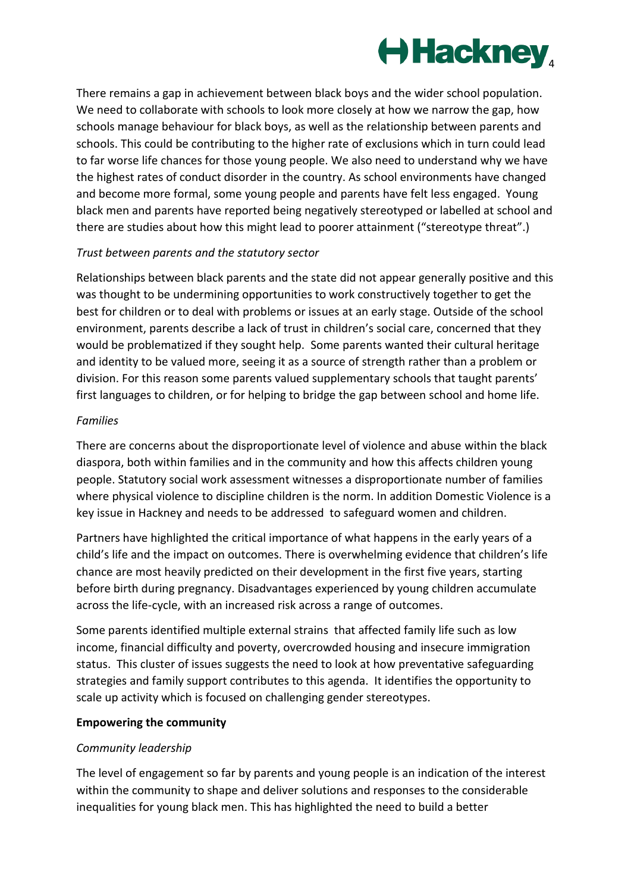

There remains a gap in achievement between black boys and the wider school population. We need to collaborate with schools to look more closely at how we narrow the gap, how schools manage behaviour for black boys, as well as the relationship between parents and schools. This could be contributing to the higher rate of exclusions which in turn could lead to far worse life chances for those young people. We also need to understand why we have the highest rates of conduct disorder in the country. As school environments have changed and become more formal, some young people and parents have felt less engaged. Young black men and parents have reported being negatively stereotyped or labelled at school and there are studies about how this might lead to poorer attainment ("stereotype threat".)

## *Trust between parents and the statutory sector*

Relationships between black parents and the state did not appear generally positive and this was thought to be undermining opportunities to work constructively together to get the best for children or to deal with problems or issues at an early stage. Outside of the school environment, parents describe a lack of trust in children's social care, concerned that they would be problematized if they sought help. Some parents wanted their cultural heritage and identity to be valued more, seeing it as a source of strength rather than a problem or division. For this reason some parents valued supplementary schools that taught parents' first languages to children, or for helping to bridge the gap between school and home life.

## *Families*

There are concerns about the disproportionate level of violence and abuse within the black diaspora, both within families and in the community and how this affects children young people. Statutory social work assessment witnesses a disproportionate number of families where physical violence to discipline children is the norm. In addition Domestic Violence is a key issue in Hackney and needs to be addressed to safeguard women and children.

Partners have highlighted the critical importance of what happens in the early years of a child's life and the impact on outcomes. There is overwhelming evidence that children's life chance are most heavily predicted on their development in the first five years, starting before birth during pregnancy. Disadvantages experienced by young children accumulate across the life-cycle, with an increased risk across a range of outcomes.

Some parents identified multiple external strains that affected family life such as low income, financial difficulty and poverty, overcrowded housing and insecure immigration status. This cluster of issues suggests the need to look at how preventative safeguarding strategies and family support contributes to this agenda. It identifies the opportunity to scale up activity which is focused on challenging gender stereotypes.

# **Empowering the community**

# *Community leadership*

The level of engagement so far by parents and young people is an indication of the interest within the community to shape and deliver solutions and responses to the considerable inequalities for young black men. This has highlighted the need to build a better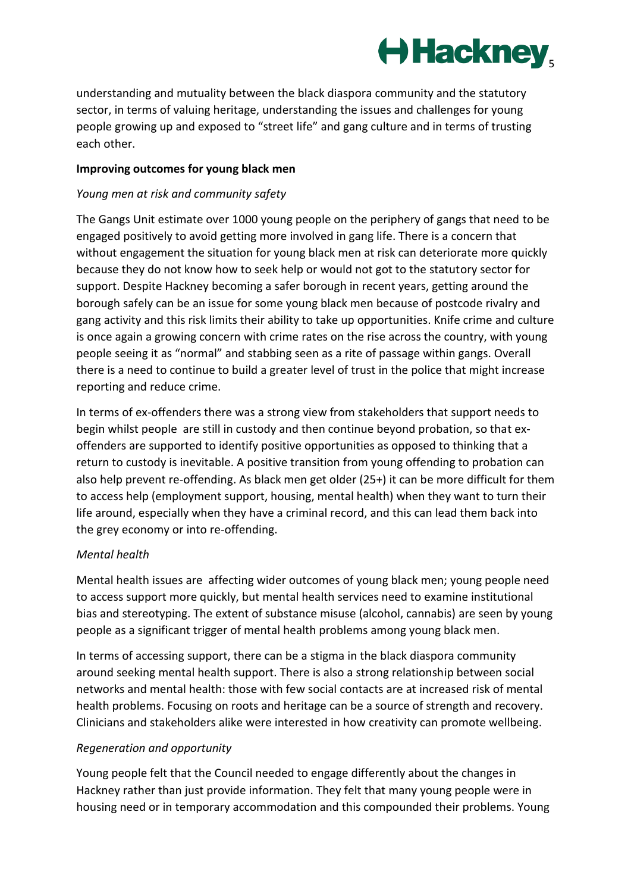

understanding and mutuality between the black diaspora community and the statutory sector, in terms of valuing heritage, understanding the issues and challenges for young people growing up and exposed to "street life" and gang culture and in terms of trusting each other.

## **Improving outcomes for young black men**

## *Young men at risk and community safety*

The Gangs Unit estimate over 1000 young people on the periphery of gangs that need to be engaged positively to avoid getting more involved in gang life. There is a concern that without engagement the situation for young black men at risk can deteriorate more quickly because they do not know how to seek help or would not got to the statutory sector for support. Despite Hackney becoming a safer borough in recent years, getting around the borough safely can be an issue for some young black men because of postcode rivalry and gang activity and this risk limits their ability to take up opportunities. Knife crime and culture is once again a growing concern with crime rates on the rise across the country, with young people seeing it as "normal" and stabbing seen as a rite of passage within gangs. Overall there is a need to continue to build a greater level of trust in the police that might increase reporting and reduce crime.

In terms of ex-offenders there was a strong view from stakeholders that support needs to begin whilst people are still in custody and then continue beyond probation, so that exoffenders are supported to identify positive opportunities as opposed to thinking that a return to custody is inevitable. A positive transition from young offending to probation can also help prevent re-offending. As black men get older (25+) it can be more difficult for them to access help (employment support, housing, mental health) when they want to turn their life around, especially when they have a criminal record, and this can lead them back into the grey economy or into re-offending.

# *Mental health*

Mental health issues are affecting wider outcomes of young black men; young people need to access support more quickly, but mental health services need to examine institutional bias and stereotyping. The extent of substance misuse (alcohol, cannabis) are seen by young people as a significant trigger of mental health problems among young black men.

In terms of accessing support, there can be a stigma in the black diaspora community around seeking mental health support. There is also a strong relationship between social networks and mental health: those with few social contacts are at increased risk of mental health problems. Focusing on roots and heritage can be a source of strength and recovery. Clinicians and stakeholders alike were interested in how creativity can promote wellbeing.

# *Regeneration and opportunity*

Young people felt that the Council needed to engage differently about the changes in Hackney rather than just provide information. They felt that many young people were in housing need or in temporary accommodation and this compounded their problems. Young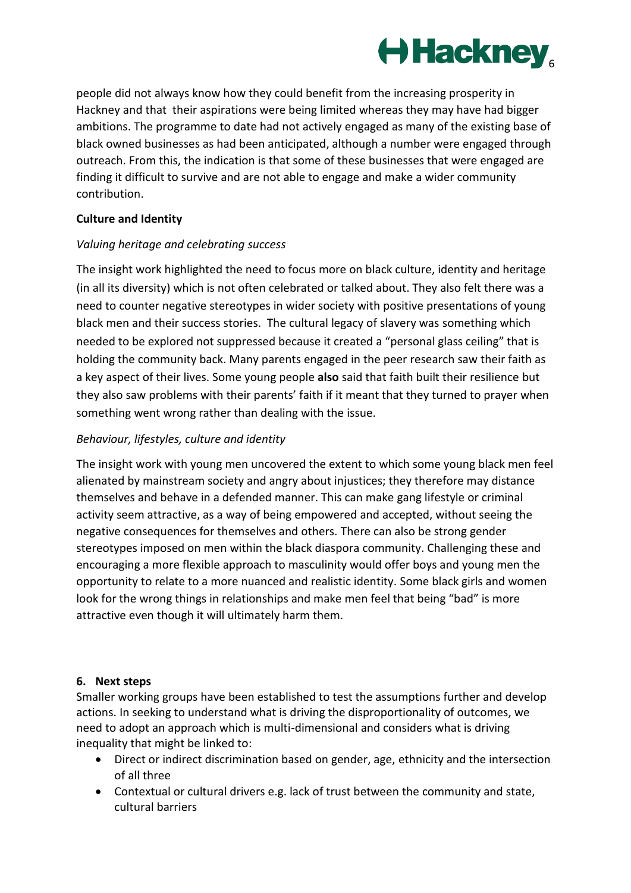

people did not always know how they could benefit from the increasing prosperity in Hackney and that their aspirations were being limited whereas they may have had bigger ambitions. The programme to date had not actively engaged as many of the existing base of black owned businesses as had been anticipated, although a number were engaged through outreach. From this, the indication is that some of these businesses that were engaged are finding it difficult to survive and are not able to engage and make a wider community contribution.

## **Culture and Identity**

# *Valuing heritage and celebrating success*

The insight work highlighted the need to focus more on black culture, identity and heritage (in all its diversity) which is not often celebrated or talked about. They also felt there was a need to counter negative stereotypes in wider society with positive presentations of young black men and their success stories. The cultural legacy of slavery was something which needed to be explored not suppressed because it created a "personal glass ceiling" that is holding the community back. Many parents engaged in the peer research saw their faith as a key aspect of their lives. Some young people **also** said that faith built their resilience but they also saw problems with their parents' faith if it meant that they turned to prayer when something went wrong rather than dealing with the issue.

# *Behaviour, lifestyles, culture and identity*

The insight work with young men uncovered the extent to which some young black men feel alienated by mainstream society and angry about injustices; they therefore may distance themselves and behave in a defended manner. This can make gang lifestyle or criminal activity seem attractive, as a way of being empowered and accepted, without seeing the negative consequences for themselves and others. There can also be strong gender stereotypes imposed on men within the black diaspora community. Challenging these and encouraging a more flexible approach to masculinity would offer boys and young men the opportunity to relate to a more nuanced and realistic identity. Some black girls and women look for the wrong things in relationships and make men feel that being "bad" is more attractive even though it will ultimately harm them.

#### **6. Next steps**

Smaller working groups have been established to test the assumptions further and develop actions. In seeking to understand what is driving the disproportionality of outcomes, we need to adopt an approach which is multi-dimensional and considers what is driving inequality that might be linked to:

- Direct or indirect discrimination based on gender, age, ethnicity and the intersection of all three
- Contextual or cultural drivers e.g. lack of trust between the community and state, cultural barriers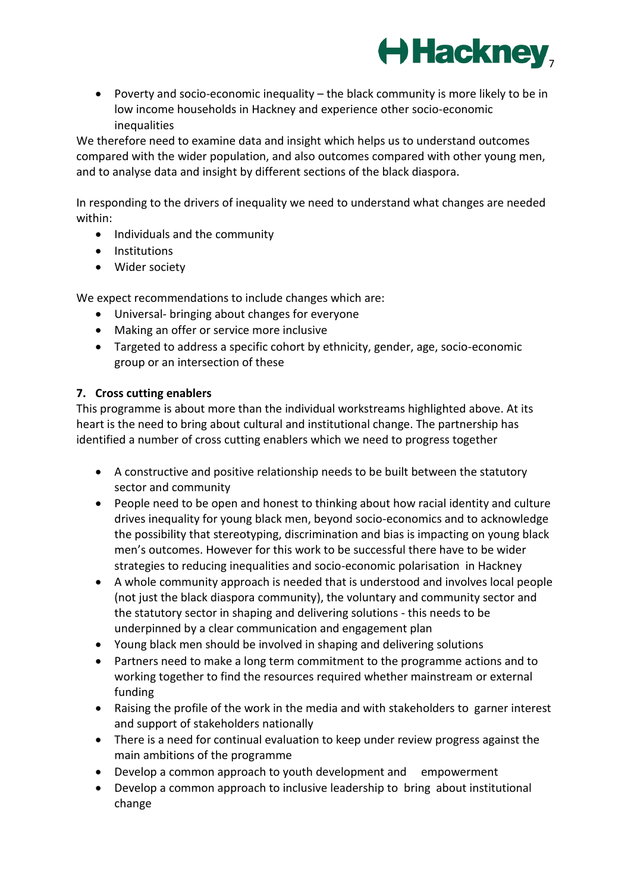

 Poverty and socio-economic inequality – the black community is more likely to be in low income households in Hackney and experience other socio-economic inequalities

We therefore need to examine data and insight which helps us to understand outcomes compared with the wider population, and also outcomes compared with other young men, and to analyse data and insight by different sections of the black diaspora.

In responding to the drivers of inequality we need to understand what changes are needed within:

- Individuals and the community
- **•** Institutions
- Wider society

We expect recommendations to include changes which are:

- Universal- bringing about changes for everyone
- Making an offer or service more inclusive
- Targeted to address a specific cohort by ethnicity, gender, age, socio-economic group or an intersection of these

# **7. Cross cutting enablers**

This programme is about more than the individual workstreams highlighted above. At its heart is the need to bring about cultural and institutional change. The partnership has identified a number of cross cutting enablers which we need to progress together

- A constructive and positive relationship needs to be built between the statutory sector and community
- People need to be open and honest to thinking about how racial identity and culture drives inequality for young black men, beyond socio-economics and to acknowledge the possibility that stereotyping, discrimination and bias is impacting on young black men's outcomes. However for this work to be successful there have to be wider strategies to reducing inequalities and socio-economic polarisation in Hackney
- A whole community approach is needed that is understood and involves local people (not just the black diaspora community), the voluntary and community sector and the statutory sector in shaping and delivering solutions - this needs to be underpinned by a clear communication and engagement plan
- Young black men should be involved in shaping and delivering solutions
- Partners need to make a long term commitment to the programme actions and to working together to find the resources required whether mainstream or external funding
- Raising the profile of the work in the media and with stakeholders to garner interest and support of stakeholders nationally
- There is a need for continual evaluation to keep under review progress against the main ambitions of the programme
- Develop a common approach to youth development and empowerment
- Develop a common approach to inclusive leadership to bring about institutional change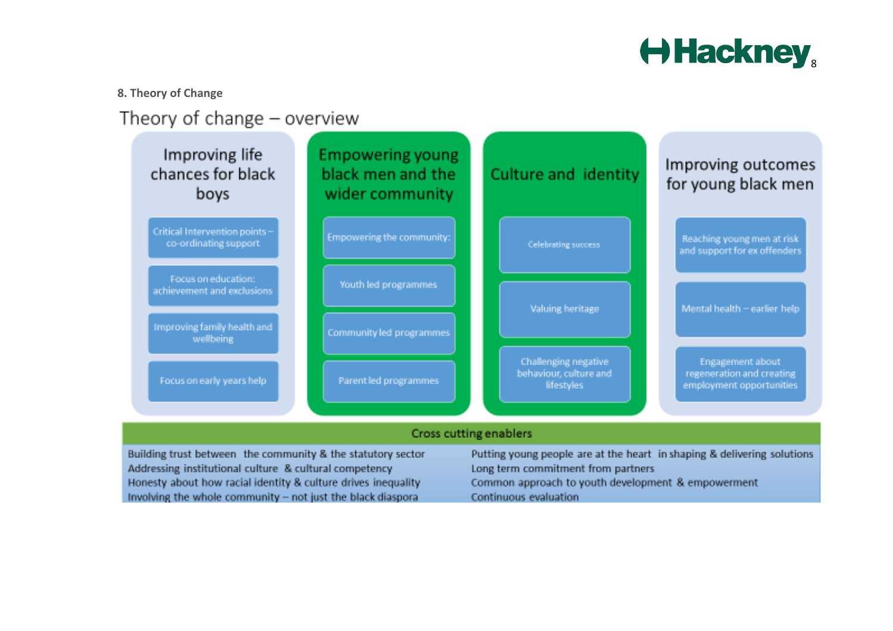

## **8. Theory of Change**

# Theory of change - overview



Honesty about how racial identity & culture drives inequality Involving the whole community - not just the black diasporal

Common approach to youth development & empowerment Continuous evaluation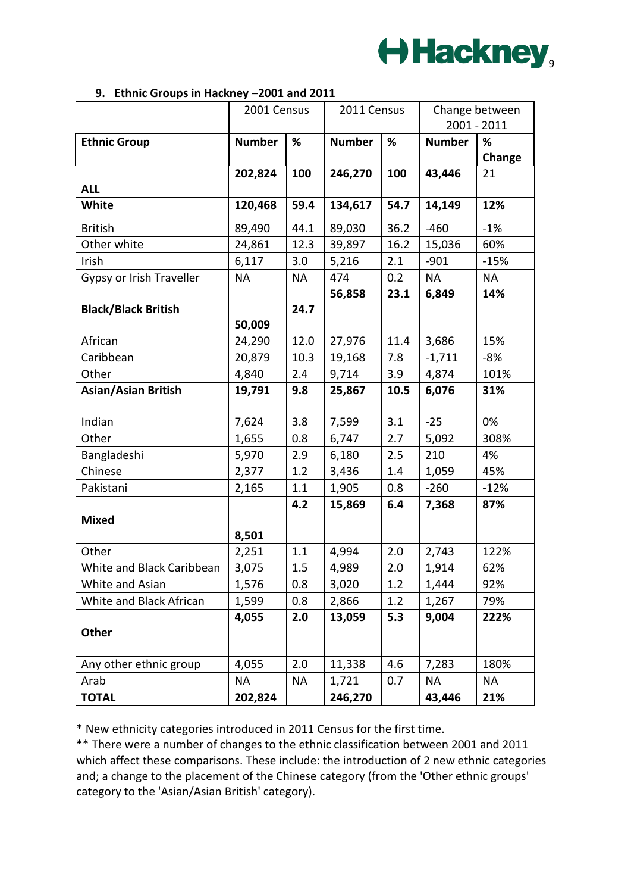

#### **9. Ethnic Groups in Hackney –2001 and 2011**

|                            | 2001 Census   |           | 2011 Census   |         | Change between<br>2001 - 2011 |           |
|----------------------------|---------------|-----------|---------------|---------|-------------------------------|-----------|
|                            |               |           |               |         |                               |           |
| <b>Ethnic Group</b>        | <b>Number</b> | %         | <b>Number</b> | %       | <b>Number</b>                 | %         |
|                            |               |           |               |         |                               | Change    |
|                            | 202,824       | 100       | 246,270       | 100     | 43,446                        | 21        |
| <b>ALL</b>                 |               |           |               |         |                               |           |
| White                      | 120,468       | 59.4      | 134,617       | 54.7    | 14,149                        | 12%       |
| <b>British</b>             | 89,490        | 44.1      | 89,030        | 36.2    | $-460$                        | $-1%$     |
| Other white                | 24,861        | 12.3      | 39,897        | 16.2    | 15,036                        | 60%       |
| Irish                      | 6,117         | 3.0       | 5,216         | 2.1     | $-901$                        | $-15%$    |
| Gypsy or Irish Traveller   | <b>NA</b>     | <b>NA</b> | 474           | 0.2     | <b>NA</b>                     | <b>NA</b> |
|                            |               |           | 56,858        | 23.1    | 6,849                         | 14%       |
| <b>Black/Black British</b> |               | 24.7      |               |         |                               |           |
|                            | 50,009        |           |               |         |                               |           |
| African                    | 24,290        | 12.0      | 27,976        | 11.4    | 3,686                         | 15%       |
| Caribbean                  | 20,879        | 10.3      | 19,168        | 7.8     | $-1,711$                      | -8%       |
| Other                      | 4,840         | 2.4       | 9,714         | 3.9     | 4,874                         | 101%      |
| <b>Asian/Asian British</b> | 19,791        | 9.8       | 25,867        | 10.5    | 6,076                         | 31%       |
|                            |               |           |               |         |                               |           |
| Indian                     | 7,624         | 3.8       | 7,599         | 3.1     | $-25$                         | 0%        |
| Other                      | 1,655         | 0.8       | 6,747         | 2.7     | 5,092                         | 308%      |
| Bangladeshi                | 5,970         | 2.9       | 6,180         | 2.5     | 210                           | 4%        |
| Chinese                    | 2,377         | 1.2       | 3,436         | $1.4\,$ | 1,059                         | 45%       |
| Pakistani                  | 2,165         | 1.1       | 1,905         | 0.8     | $-260$                        | $-12%$    |
|                            |               | 4.2       | 15,869        | 6.4     | 7,368                         | 87%       |
| <b>Mixed</b>               |               |           |               |         |                               |           |
|                            | 8,501         |           |               |         |                               |           |
| Other                      | 2,251         | $1.1\,$   | 4,994         | 2.0     | 2,743                         | 122%      |
| White and Black Caribbean  | 3,075         | 1.5       | 4,989         | 2.0     | 1,914                         | 62%       |
| White and Asian            | 1,576         | 0.8       | 3,020         | 1.2     | 1,444                         | 92%       |
| White and Black African    | 1,599         | 0.8       | 2,866         | 1.2     | 1,267                         | 79%       |
|                            | 4,055         | 2.0       | 13,059        | 5.3     | 9,004                         | 222%      |
| Other                      |               |           |               |         |                               |           |
|                            |               |           |               |         |                               |           |
| Any other ethnic group     | 4,055         | 2.0       | 11,338        | 4.6     | 7,283                         | 180%      |
| Arab                       | <b>NA</b>     | NA        | 1,721         | 0.7     | NA                            | <b>NA</b> |
| <b>TOTAL</b>               | 202,824       |           | 246,270       |         | 43,446                        | 21%       |

\* New ethnicity categories introduced in 2011 Census for the first time.

\*\* There were a number of changes to the ethnic classification between 2001 and 2011 which affect these comparisons. These include: the introduction of 2 new ethnic categories and; a change to the placement of the Chinese category (from the 'Other ethnic groups' category to the 'Asian/Asian British' category).